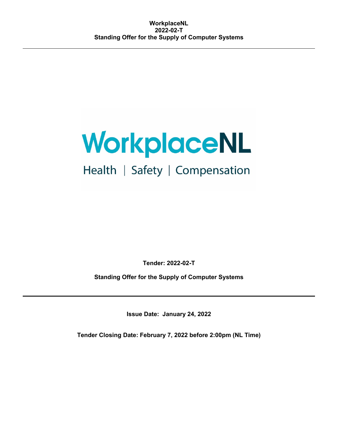## Health | Safety | Compensation

**Tender: 2022-02-T**

**Standing Offer for the Supply of Computer Systems**

**Issue Date: January 24, 2022**

**Tender Closing Date: February 7, 2022 before 2:00pm (NL Time)**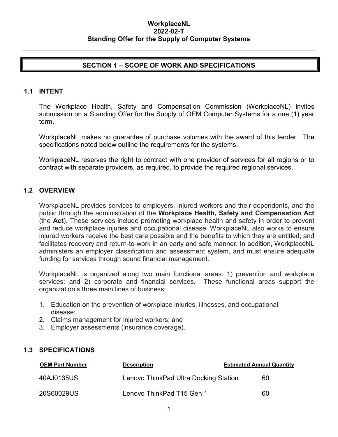#### **SECTION 1 – SCOPE OF WORK AND SPECIFICATIONS**

#### **1.1 INTENT**

The Workplace Health, Safety and Compensation Commission (WorkplaceNL) invites submission on a Standing Offer for the Supply of OEM Computer Systems for a one (1) year term.

WorkplaceNL makes no guarantee of purchase volumes with the award of this tender. The specifications noted below outline the requirements for the systems.

WorkplaceNL reserves the right to contract with one provider of services for all regions or to contract with separate providers, as required, to provide the required regional services.

#### **1.2 OVERVIEW**

WorkplaceNL provides services to employers, injured workers and their dependents, and the public through the administration of the **Workplace Health, Safety and Compensation Act** (the **Act**). These services include promoting workplace health and safety in order to prevent and reduce workplace injuries and occupational disease. WorkplaceNL also works to ensure injured workers receive the best care possible and the benefits to which they are entitled; and facilitates recovery and return-to-work in an early and safe manner. In addition, WorkplaceNL administers an employer classification and assessment system, and must ensure adequate funding for services through sound financial management.

WorkplaceNL is organized along two main functional areas: 1) prevention and workplace services; and 2) corporate and financial services. These functional areas support the organization's three main lines of business:

- 1. Education on the prevention of workplace injuries, illnesses, and occupational disease;
- 2. Claims management for injured workers; and
- 3. Employer assessments (insurance coverage).

#### **1.3 SPECIFICATIONS**

| <b>OEM Part Number</b> | <b>Description</b>                    | <b>Estimated Annual Quantity</b> |  |
|------------------------|---------------------------------------|----------------------------------|--|
| 40AJ0135US             | Lenovo ThinkPad Ultra Docking Station | 60                               |  |
| 20S60029US             | Lenovo ThinkPad T15 Gen 1             | 60                               |  |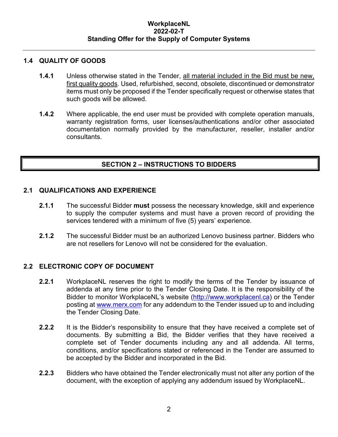#### **1.4 QUALITY OF GOODS**

- **1.4.1** Unless otherwise stated in the Tender, all material included in the Bid must be new, first quality goods. Used, refurbished, second, obsolete, discontinued or demonstrator items must only be proposed if the Tender specifically request or otherwise states that such goods will be allowed.
- **1.4.2** Where applicable, the end user must be provided with complete operation manuals, warranty registration forms, user licenses/authentications and/or other associated documentation normally provided by the manufacturer, reseller, installer and/or consultants.

#### **SECTION 2 – INSTRUCTIONS TO BIDDERS**

#### **2.1 QUALIFICATIONS AND EXPERIENCE**

- **2.1.1** The successful Bidder **must** possess the necessary knowledge, skill and experience to supply the computer systems and must have a proven record of providing the services tendered with a minimum of five (5) years' experience.
- **2.1.2** The successful Bidder must be an authorized Lenovo business partner. Bidders who are not resellers for Lenovo will not be considered for the evaluation.

#### **2.2 ELECTRONIC COPY OF DOCUMENT**

- **2.2.1** WorkplaceNL reserves the right to modify the terms of the Tender by issuance of addenda at any time prior to the Tender Closing Date. It is the responsibility of the Bidder to monitor WorkplaceNL's website [\(http://www.workplacenl.ca\)](http://www.workplacenl.ca/) or the Tender posting at [www.merx.com](http://www.merx.com/) for any addendum to the Tender issued up to and including the Tender Closing Date.
- **2.2.2** It is the Bidder's responsibility to ensure that they have received a complete set of documents. By submitting a Bid, the Bidder verifies that they have received a complete set of Tender documents including any and all addenda. All terms, conditions, and/or specifications stated or referenced in the Tender are assumed to be accepted by the Bidder and incorporated in the Bid.
- **2.2.3** Bidders who have obtained the Tender electronically must not alter any portion of the document, with the exception of applying any addendum issued by WorkplaceNL.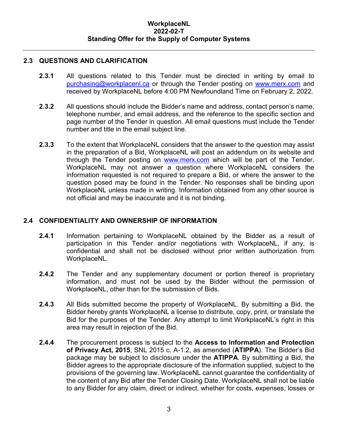#### **2.3 QUESTIONS AND CLARIFICATION**

- **2.3.1** All questions related to this Tender must be directed in writing by email to [purchasing@workplacenl.ca](mailto:purchasing@workplacenl.ca) or through the Tender posting on [www.merx.com](http://www.merx.com/) and received by WorkplaceNL before 4:00 PM Newfoundland Time on February 2, 2022.
- **2.3.2** All questions should include the Bidder's name and address, contact person's name, telephone number, and email address, and the reference to the specific section and page number of the Tender in question. All email questions must include the Tender number and title in the email subject line.
- **2.3.3** To the extent that WorkplaceNL considers that the answer to the question may assist in the preparation of a Bid, WorkplaceNL will post an addendum on its website and through the Tender posting on [www.merx.com](http://www.merx.com/) which will be part of the Tender. WorkplaceNL may not answer a question where WorkplaceNL considers the information requested is not required to prepare a Bid, or where the answer to the question posed may be found in the Tender. No responses shall be binding upon WorkplaceNL unless made in writing. Information obtained from any other source is not official and may be inaccurate and it is not binding.

#### **2.4 CONFIDENTIALITY AND OWNERSHIP OF INFORMATION**

- **2.4.1** Information pertaining to WorkplaceNL obtained by the Bidder as a result of participation in this Tender and/or negotiations with WorkplaceNL, if any, is confidential and shall not be disclosed without prior written authorization from WorkplaceNL.
- **2.4.2** The Tender and any supplementary document or portion thereof is proprietary information, and must not be used by the Bidder without the permission of WorkplaceNL, other than for the submission of Bids.
- **2.4.3** All Bids submitted become the property of WorkplaceNL. By submitting a Bid, the Bidder hereby grants WorkplaceNL a license to distribute, copy, print, or translate the Bid for the purposes of the Tender. Any attempt to limit WorkplaceNL's right in this area may result in rejection of the Bid.
- **2.4.4** The procurement process is subject to the **Access to Information and Protection of Privacy Act, 2015**, SNL 2015 c. A-1.2, as amended (**ATIPPA**). The Bidder's Bid package may be subject to disclosure under the **ATIPPA**. By submitting a Bid, the Bidder agrees to the appropriate disclosure of the information supplied, subject to the provisions of the governing law. WorkplaceNL cannot guarantee the confidentiality of the content of any Bid after the Tender Closing Date. WorkplaceNL shall not be liable to any Bidder for any claim, direct or indirect, whether for costs, expenses, losses or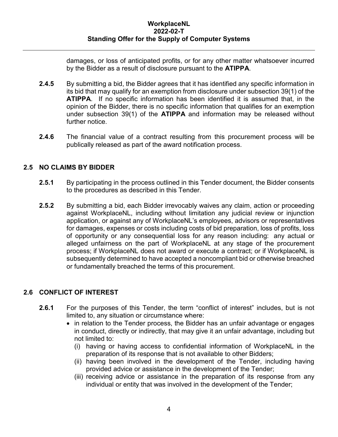damages, or loss of anticipated profits, or for any other matter whatsoever incurred by the Bidder as a result of disclosure pursuant to the **ATIPPA**.

- **2.4.5** By submitting a bid, the Bidder agrees that it has identified any specific information in its bid that may qualify for an exemption from disclosure under subsection 39(1) of the **ATIPPA**. If no specific information has been identified it is assumed that, in the opinion of the Bidder, there is no specific information that qualifies for an exemption under subsection 39(1) of the **ATIPPA** and information may be released without further notice.
- **2.4.6** The financial value of a contract resulting from this procurement process will be publically released as part of the award notification process.

#### **2.5 NO CLAIMS BY BIDDER**

- **2.5.1** By participating in the process outlined in this Tender document, the Bidder consents to the procedures as described in this Tender.
- **2.5.2** By submitting a bid, each Bidder irrevocably waives any claim, action or proceeding against WorkplaceNL, including without limitation any judicial review or injunction application, or against any of WorkplaceNL's employees, advisors or representatives for damages, expenses or costs including costs of bid preparation, loss of profits, loss of opportunity or any consequential loss for any reason including: any actual or alleged unfairness on the part of WorkplaceNL at any stage of the procurement process; if WorkplaceNL does not award or execute a contract; or if WorkplaceNL is subsequently determined to have accepted a noncompliant bid or otherwise breached or fundamentally breached the terms of this procurement.

#### **2.6 CONFLICT OF INTEREST**

- **2.6.1** For the purposes of this Tender, the term "conflict of interest" includes, but is not limited to, any situation or circumstance where:
	- in relation to the Tender process, the Bidder has an unfair advantage or engages in conduct, directly or indirectly, that may give it an unfair advantage, including but not limited to:
		- (i) having or having access to confidential information of WorkplaceNL in the preparation of its response that is not available to other Bidders;
		- (ii) having been involved in the development of the Tender, including having provided advice or assistance in the development of the Tender;
		- (iii) receiving advice or assistance in the preparation of its response from any individual or entity that was involved in the development of the Tender;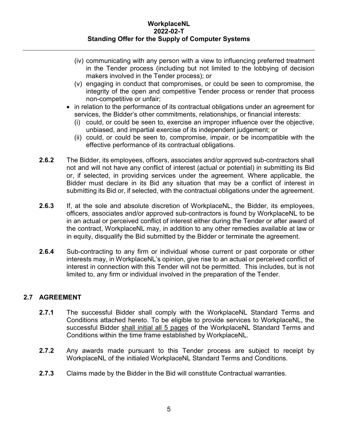- (iv) communicating with any person with a view to influencing preferred treatment in the Tender process (including but not limited to the lobbying of decision makers involved in the Tender process); or
- (v) engaging in conduct that compromises, or could be seen to compromise, the integrity of the open and competitive Tender process or render that process non-competitive or unfair;
- in relation to the performance of its contractual obligations under an agreement for services, the Bidder's other commitments, relationships, or financial interests:
	- (i) could, or could be seen to, exercise an improper influence over the objective, unbiased, and impartial exercise of its independent judgement; or
	- (ii) could, or could be seen to, compromise, impair, or be incompatible with the effective performance of its contractual obligations.
- **2.6.2** The Bidder, its employees, officers, associates and/or approved sub-contractors shall not and will not have any conflict of interest (actual or potential) in submitting its Bid or, if selected, in providing services under the agreement. Where applicable, the Bidder must declare in its Bid any situation that may be a conflict of interest in submitting its Bid or, if selected, with the contractual obligations under the agreement.
- **2.6.3** If, at the sole and absolute discretion of WorkplaceNL, the Bidder, its employees, officers, associates and/or approved sub-contractors is found by WorkplaceNL to be in an actual or perceived conflict of interest either during the Tender or after award of the contract, WorkplaceNL may, in addition to any other remedies available at law or in equity, disqualify the Bid submitted by the Bidder or terminate the agreement.
- **2.6.4** Sub-contracting to any firm or individual whose current or past corporate or other interests may, in WorkplaceNL's opinion, give rise to an actual or perceived conflict of interest in connection with this Tender will not be permitted. This includes, but is not limited to, any firm or individual involved in the preparation of the Tender.

#### **2.7 AGREEMENT**

- **2.7.1** The successful Bidder shall comply with the WorkplaceNL Standard Terms and Conditions attached hereto. To be eligible to provide services to WorkplaceNL, the successful Bidder shall initial all 5 pages of the WorkplaceNL Standard Terms and Conditions within the time frame established by WorkplaceNL.
- **2.7.2** Any awards made pursuant to this Tender process are subject to receipt by WorkplaceNL of the initialed WorkplaceNL Standard Terms and Conditions.
- **2.7.3** Claims made by the Bidder in the Bid will constitute Contractual warranties.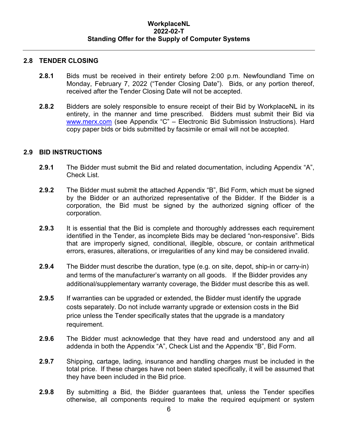#### **2.8 TENDER CLOSING**

- **2.8.1** Bids must be received in their entirety before 2:00 p.m. Newfoundland Time on Monday, February 7, 2022 ("Tender Closing Date"). Bids, or any portion thereof, received after the Tender Closing Date will not be accepted.
- **2.8.2** Bidders are solely responsible to ensure receipt of their Bid by WorkplaceNL in its entirety, in the manner and time prescribed. Bidders must submit their Bid via [www.merx.com](http://www.merx.com/) (see Appendix "C" - Electronic Bid Submission Instructions). Hard copy paper bids or bids submitted by facsimile or email will not be accepted.

#### **2.9 BID INSTRUCTIONS**

- **2.9.1** The Bidder must submit the Bid and related documentation, including Appendix "A", Check List.
- **2.9.2** The Bidder must submit the attached Appendix "B", Bid Form, which must be signed by the Bidder or an authorized representative of the Bidder. If the Bidder is a corporation, the Bid must be signed by the authorized signing officer of the corporation.
- **2.9.3** It is essential that the Bid is complete and thoroughly addresses each requirement identified in the Tender, as incomplete Bids may be declared "non-responsive". Bids that are improperly signed, conditional, illegible, obscure, or contain arithmetical errors, erasures, alterations, or irregularities of any kind may be considered invalid.
- **2.9.4** The Bidder must describe the duration, type (e.g. on site, depot, ship-in or carry-in) and terms of the manufacturer's warranty on all goods. If the Bidder provides any additional/supplementary warranty coverage, the Bidder must describe this as well.
- **2.9.5** If warranties can be upgraded or extended, the Bidder must identify the upgrade costs separately. Do not include warranty upgrade or extension costs in the Bid price unless the Tender specifically states that the upgrade is a mandatory requirement.
- **2.9.6** The Bidder must acknowledge that they have read and understood any and all addenda in both the Appendix "A", Check List and the Appendix "B", Bid Form.
- **2.9.7** Shipping, cartage, lading, insurance and handling charges must be included in the total price. If these charges have not been stated specifically, it will be assumed that they have been included in the Bid price.
- **2.9.8** By submitting a Bid, the Bidder guarantees that, unless the Tender specifies otherwise, all components required to make the required equipment or system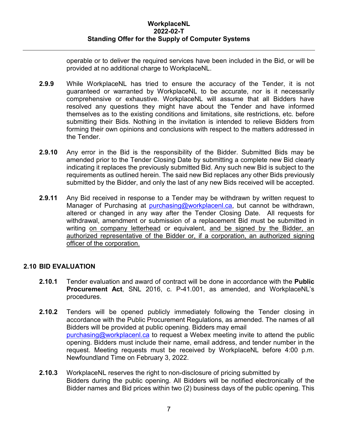operable or to deliver the required services have been included in the Bid, or will be provided at no additional charge to WorkplaceNL.

- **2.9.9** While WorkplaceNL has tried to ensure the accuracy of the Tender, it is not guaranteed or warranted by WorkplaceNL to be accurate, nor is it necessarily comprehensive or exhaustive. WorkplaceNL will assume that all Bidders have resolved any questions they might have about the Tender and have informed themselves as to the existing conditions and limitations, site restrictions, etc. before submitting their Bids. Nothing in the invitation is intended to relieve Bidders from forming their own opinions and conclusions with respect to the matters addressed in the Tender.
- **2.9.10** Any error in the Bid is the responsibility of the Bidder. Submitted Bids may be amended prior to the Tender Closing Date by submitting a complete new Bid clearly indicating it replaces the previously submitted Bid. Any such new Bid is subject to the requirements as outlined herein. The said new Bid replaces any other Bids previously submitted by the Bidder, and only the last of any new Bids received will be accepted.
- **2.9.11** Any Bid received in response to a Tender may be withdrawn by written request to Manager of Purchasing at [purchasing@workplacenl.ca,](mailto:purchasing@workplacenl.ca) but cannot be withdrawn, altered or changed in any way after the Tender Closing Date. All requests for withdrawal, amendment or submission of a replacement Bid must be submitted in writing on company letterhead or equivalent, and be signed by the Bidder, an authorized representative of the Bidder or, if a corporation, an authorized signing officer of the corporation.

#### **2.10 BID EVALUATION**

- **2.10.1** Tender evaluation and award of contract will be done in accordance with the **Public Procurement Act**, SNL 2016, c. P-41.001, as amended, and WorkplaceNL's procedures.
- **2.10.2** Tenders will be opened publicly immediately following the Tender closing in accordance with the Public Procurement Regulations, as amended. The names of all Bidders will be provided at public opening. Bidders may email [purchasing@workplacenl.ca](mailto:purchasing@workplacenl.ca) to request a Webex meeting invite to attend the public opening. Bidders must include their name, email address, and tender number in the request. Meeting requests must be received by WorkplaceNL before 4:00 p.m. Newfoundland Time on February 3, 2022.
- **2.10.3** WorkplaceNL reserves the right to non-disclosure of pricing submitted by Bidders during the public opening. All Bidders will be notified electronically of the Bidder names and Bid prices within two (2) business days of the public opening. This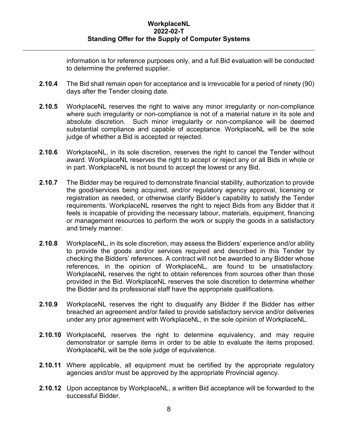information is for reference purposes only, and a full Bid evaluation will be conducted to determine the preferred supplier.

- **2.10.4** The Bid shall remain open for acceptance and is irrevocable for a period of ninety (90) days after the Tender closing date.
- **2.10.5** WorkplaceNL reserves the right to waive any minor irregularity or non-compliance where such irregularity or non-compliance is not of a material nature in its sole and absolute discretion. Such minor irregularity or non-compliance will be deemed substantial compliance and capable of acceptance. WorkplaceNL will be the sole judge of whether a Bid is accepted or rejected.
- **2.10.6** WorkplaceNL, in its sole discretion, reserves the right to cancel the Tender without award. WorkplaceNL reserves the right to accept or reject any or all Bids in whole or in part. WorkplaceNL is not bound to accept the lowest or any Bid.
- **2.10.7** The Bidder may be required to demonstrate financial stability, authorization to provide the good/services being acquired, and/or regulatory agency approval, licensing or registration as needed, or otherwise clarify Bidder's capability to satisfy the Tender requirements. WorkplaceNL reserves the right to reject Bids from any Bidder that it feels is incapable of providing the necessary labour, materials, equipment, financing or management resources to perform the work or supply the goods in a satisfactory and timely manner.
- **2.10.8** WorkplaceNL, in its sole discretion, may assess the Bidders' experience and/or ability to provide the goods and/or services required and described in this Tender by checking the Bidders' references. A contract will not be awarded to any Bidder whose references, in the opinion of WorkplaceNL, are found to be unsatisfactory. WorkplaceNL reserves the right to obtain references from sources other than those provided in the Bid. WorkplaceNL reserves the sole discretion to determine whether the Bidder and its professional staff have the appropriate qualifications.
- **2.10.9** WorkplaceNL reserves the right to disqualify any Bidder if the Bidder has either breached an agreement and/or failed to provide satisfactory service and/or deliveries under any prior agreement with WorkplaceNL, in the sole opinion of WorkplaceNL.
- **2.10.10** WorkplaceNL reserves the right to determine equivalency, and may require demonstrator or sample items in order to be able to evaluate the items proposed. WorkplaceNL will be the sole judge of equivalence.
- **2.10.11** Where applicable, all equipment must be certified by the appropriate regulatory agencies and/or must be approved by the appropriate Provincial agency.
- **2.10.12** Upon acceptance by WorkplaceNL, a written Bid acceptance will be forwarded to the successful Bidder.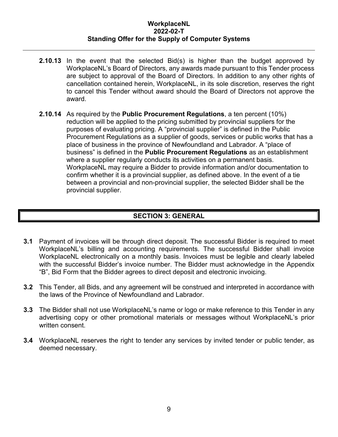- **2.10.13** In the event that the selected Bid(s) is higher than the budget approved by WorkplaceNL's Board of Directors, any awards made pursuant to this Tender process are subject to approval of the Board of Directors. In addition to any other rights of cancellation contained herein, WorkplaceNL, in its sole discretion, reserves the right to cancel this Tender without award should the Board of Directors not approve the award.
- **2.10.14** As required by the **Public Procurement Regulations**, a ten percent (10%) reduction will be applied to the pricing submitted by provincial suppliers for the purposes of evaluating pricing. A "provincial supplier" is defined in the Public Procurement Regulations as a supplier of goods, services or public works that has a place of business in the province of Newfoundland and Labrador. A "place of business" is defined in the **Public Procurement Regulations** as an establishment where a supplier regularly conducts its activities on a permanent basis. WorkplaceNL may require a Bidder to provide information and/or documentation to confirm whether it is a provincial supplier, as defined above. In the event of a tie between a provincial and non-provincial supplier, the selected Bidder shall be the provincial supplier.

#### **SECTION 3: GENERAL**

- **3.1** Payment of invoices will be through direct deposit. The successful Bidder is required to meet WorkplaceNL's billing and accounting requirements. The successful Bidder shall invoice WorkplaceNL electronically on a monthly basis. Invoices must be legible and clearly labeled with the successful Bidder's invoice number. The Bidder must acknowledge in the Appendix "B", Bid Form that the Bidder agrees to direct deposit and electronic invoicing.
- **3.2** This Tender, all Bids, and any agreement will be construed and interpreted in accordance with the laws of the Province of Newfoundland and Labrador.
- **3.3** The Bidder shall not use WorkplaceNL's name or logo or make reference to this Tender in any advertising copy or other promotional materials or messages without WorkplaceNL's prior written consent.
- **3.4** WorkplaceNL reserves the right to tender any services by invited tender or public tender, as deemed necessary.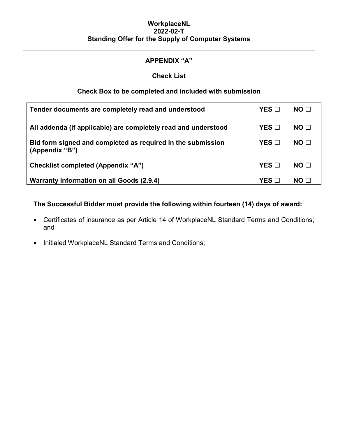#### **APPENDIX "A"**

#### **Check List**

#### **Check Box to be completed and included with submission**

| Tender documents are completely read and understood                           | YES □           | NO <sub>1</sub> |
|-------------------------------------------------------------------------------|-----------------|-----------------|
| All addenda (if applicable) are completely read and understood                | YES ⊡           | NO <sub>1</sub> |
| Bid form signed and completed as required in the submission<br>(Appendix "B") | $YES$ $\square$ | NO □            |
| <b>Checklist completed (Appendix "A")</b>                                     | $YES$ $\square$ | NO <sub>1</sub> |
| <b>Warranty Information on all Goods (2.9.4)</b>                              | YES ⊡           | NO <sub>1</sub> |

**The Successful Bidder must provide the following within fourteen (14) days of award:**

- Certificates of insurance as per Article 14 of WorkplaceNL Standard Terms and Conditions; and
- Initialed WorkplaceNL Standard Terms and Conditions;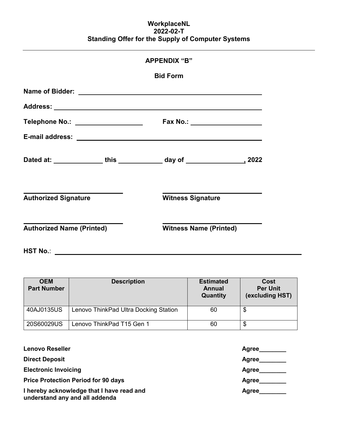|                                   | <b>APPENDIX "B"</b> |                                  |  |
|-----------------------------------|---------------------|----------------------------------|--|
|                                   |                     | <b>Bid Form</b>                  |  |
|                                   |                     |                                  |  |
|                                   |                     |                                  |  |
| Telephone No.: __________________ |                     | Fax No.: _______________________ |  |
|                                   |                     |                                  |  |
|                                   |                     |                                  |  |
| <b>Authorized Signature</b>       |                     | <b>Witness Signature</b>         |  |
| <b>Authorized Name (Printed)</b>  |                     | <b>Witness Name (Printed)</b>    |  |
| <b>HST No.:</b>                   |                     |                                  |  |

| <b>OEM</b><br><b>Part Number</b> | <b>Description</b>                    | <b>Estimated</b><br>Annual<br>Quantity | Cost<br><b>Per Unit</b><br>(excluding HST) |
|----------------------------------|---------------------------------------|----------------------------------------|--------------------------------------------|
| 40AJ0135US                       | Lenovo ThinkPad Ultra Docking Station | 60                                     | \$                                         |
| 20S60029US                       | Lenovo ThinkPad T15 Gen 1             | 60                                     | \$                                         |

| <b>Lenovo Reseller</b>                                                      | <b>Agree</b> |
|-----------------------------------------------------------------------------|--------------|
| <b>Direct Deposit</b>                                                       | Agree        |
| <b>Electronic Invoicing</b>                                                 | Agree        |
| <b>Price Protection Period for 90 days</b>                                  | Agree        |
| I hereby acknowledge that I have read and<br>understand any and all addenda | Agree        |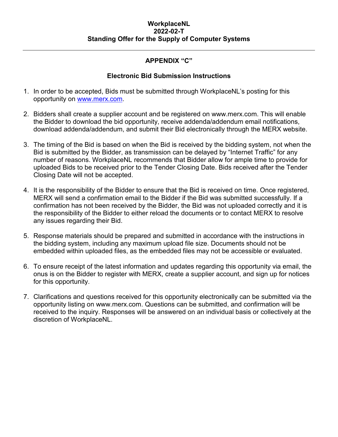#### **APPENDIX "C"**

#### **Electronic Bid Submission Instructions**

- 1. In order to be accepted, Bids must be submitted through WorkplaceNL's posting for this opportunity on [www.merx.com.](http://www.merx.com/)
- 2. Bidders shall create a supplier account and be registered on www.merx.com. This will enable the Bidder to download the bid opportunity, receive addenda/addendum email notifications, download addenda/addendum, and submit their Bid electronically through the MERX website.
- 3. The timing of the Bid is based on when the Bid is received by the bidding system, not when the Bid is submitted by the Bidder, as transmission can be delayed by "Internet Traffic" for any number of reasons. WorkplaceNL recommends that Bidder allow for ample time to provide for uploaded Bids to be received prior to the Tender Closing Date. Bids received after the Tender Closing Date will not be accepted.
- 4. It is the responsibility of the Bidder to ensure that the Bid is received on time. Once registered, MERX will send a confirmation email to the Bidder if the Bid was submitted successfully. If a confirmation has not been received by the Bidder, the Bid was not uploaded correctly and it is the responsibility of the Bidder to either reload the documents or to contact MERX to resolve any issues regarding their Bid.
- 5. Response materials should be prepared and submitted in accordance with the instructions in the bidding system, including any maximum upload file size. Documents should not be embedded within uploaded files, as the embedded files may not be accessible or evaluated.
- 6. To ensure receipt of the latest information and updates regarding this opportunity via email, the onus is on the Bidder to register with MERX, create a supplier account, and sign up for notices for this opportunity.
- 7. Clarifications and questions received for this opportunity electronically can be submitted via the opportunity listing on www.merx.com. Questions can be submitted, and confirmation will be received to the inquiry. Responses will be answered on an individual basis or collectively at the discretion of WorkplaceNL.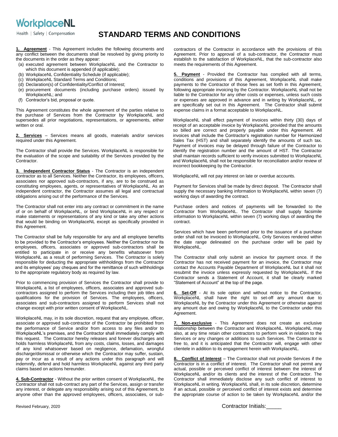Health | Safety | Compensation

#### **STANDARD TERMS AND CONDITIONS**

**1. Agreement** - This Agreement includes the following documents and any conflict between the documents shall be resolved by giving priority to the documents in the order as they appear:

- (a) executed agreement between WorkplaceNL and the Contractor to which this document is appended (if applicable);
- (b) WorkplaceNL Confidentiality Schedule (if applicable);
- (c) WorkplaceNL Standard Terms and Conditions;
- (d) Declaration(s) of Confidentiality/Conflict of Interest;
- (e) procurement documents (including purchase orders) issued by WorkplaceNL; and
- (f) Contractor's bid, proposal or quote.

This Agreement constitutes the whole agreement of the parties relative to the purchase of Services from the Contractor by WorkplaceNL and supersedes all prior negotiations, representations, or agreements, either written or oral.

**Services** – Services means all goods, materials and/or services required under this Agreement.

The Contractor shall provide the Services. WorkplaceNL is responsible for the evaluation of the scope and suitability of the Services provided by the Contractor.

**3. Independent Contractor Status** - The Contractor is an independent contractor as to all Services. Neither the Contractor, its employees, officers, associates nor approved sub-contractors, if any, are to be construed as constituting employees, agents, or representatives of WorkplaceNL. As an independent contractor, the Contractor assumes all legal and contractual obligations arising out of the performance of the Services.

The Contractor shall not enter into any contract or commitment in the name of or on behalf of WorkplaceNL, or bind WorkplaceNL in any respect or make statements or representations of any kind or take any other actions that would be binding on WorkplaceNL except as specifically provided in this Agreement.

The Contractor shall be fully responsible for any and all employee benefits to be provided to the Contractor's employees. Neither the Contractor nor its employees, officers, associates or approved sub-contractors shall be entitled to participate in or receive any benefits whatsoever from WorkplaceNL as a result of performing Services. The Contractor is solely responsible for deducting the appropriate withholdings from the Contractor and its employees' pay cheques and for the remittance of such withholdings to the appropriate regulatory body as required by law.

Prior to commencing provision of Services the Contractor shall provide to WorkplaceNL a list of employees, officers, associates and approved subcontractors assigned to perform the Services including their job titles and qualifications for the provision of Services. The employees, officers, associates and sub-contractors assigned to perform Services shall not change except with prior written consent of WorkplaceNL.

WorkplaceNL may, in its sole discretion, request that any employee, officer, associate or approved sub-contractor of the Contractor be prohibited from the performance of Service and/or from access to any files and/or to WorkplaceNL's premises, and the Contractor shall immediately comply with this request. The Contractor hereby releases and forever discharges and holds harmless WorkplaceNL from any costs, claims, losses, and damages of any kind whatsoever based on negligence, defamation, wrongful discharge/dismissal or otherwise which the Contractor may suffer, sustain, pay or incur as a result of any actions under this paragraph and will indemnify, defend and hold harmless WorkplaceNL against any third party claims based on actions hereunder.

**4. Sub-Contractor** - Without the prior written consent of WorkplaceNL, the Contractor shall not sub-contract any part of the Services, assign or transfer any interest, or delegate any responsibility arising out of this Agreement, to anyone other than the approved employees, officers, associates, or subcontractors of the Contractor in accordance with the provisions of this Agreement. Prior to approval of a sub-contractor, the Contractor must establish to the satisfaction of WorkplaceNL, that the sub-contractor also meets the requirements of this Agreement.

**5. Payment** - Provided the Contractor has complied with all terms, conditions and provisions of this Agreement, WorkplaceNL shall make payments to the Contractor of those fees as set forth in this Agreement, following appropriate invoicing by the Contractor. WorkplaceNL shall not be liable to the Contractor for any other costs or expenses, unless such costs or expenses are approved in advance and in writing by WorkplaceNL, or are specifically set out in this Agreement. The Contractor shall submit expense claims in a format acceptable to WorkplaceNL.

WorkplaceNL shall effect payment of invoices within thirty (30) days of receipt of an acceptable invoice by WorkplaceNL provided that the amounts so billed are correct and properly payable under this Agreement. All invoices shall include the Contractor's registration number for Harmonized Sales Tax (HST) and shall separately identify the amounts of such tax. Payment of invoices may be delayed through failure of the Contractor to identify the registration number and the amount of HST. The Contractor shall maintain records sufficient to verify invoices submitted to WorkplaceNL and WorkplaceNL shall not be responsible for reconciliation and/or review of incorrect bookkeeping by the Contractor.

WorkplaceNL will not pay interest on late or overdue accounts.

Payment for Services shall be made by direct deposit. The Contractor shall supply the necessary banking information to WorkplaceNL within seven (7) working days of awarding the contract.

Purchase orders and notices of payments will be forwarded to the Contractor from WorkplaceNL. The Contractor shall supply facsimile information to WorkplaceNL within seven (7) working days of awarding the contract.

Services which have been performed prior to the issuance of a purchase order shall not be invoiced to WorkplaceNL. Only Services rendered within the date range delineated on the purchase order will be paid by WorkplaceNL.

The Contractor shall only submit an invoice for payment once. If the Contractor has not received payment for an invoice, the Contractor may contact the Accounts Payable Department of WorkplaceNL but it shall not resubmit the invoice unless expressly requested by WorkplaceNL. If the Contractor sends a Statement of Account, it shall be clearly marked "Statement of Account" at the top of the page.

**6. Set-Off** - At its sole option and without notice to the Contractor, WorkplaceNL shall have the right to set-off any amount due to WorkplaceNL by the Contractor under this Agreement or otherwise against any amount due and owing by WorkplaceNL to the Contractor under this Agreement.

**7. Non-exclusive** - This Agreement does not create an exclusive relationship between the Contractor and WorkplaceNL. WorkplaceNL may also, at any time retain other contractors to perform work in relation to the Services or any changes or additions to such Services. The Contractor is free to, and it is anticipated that the Contractor will, engage with other clientele in addition to its engagement herein with WorkplaceNL.

**8. Conflict of Interest** – The Contractor shall not provide Services if the Contractor is in a conflict of interest. The Contractor shall not permit any actual, possible or perceived conflict of interest between the interest of WorkplaceNL and/or its clients and the interest of the Contractor. The Contractor shall immediately disclose any such conflict of interest to WorkplaceNL in writing. WorkplaceNL shall, in its sole discretion, determine if an actual, possible or perceived conflict of interest exists and determine the appropriate course of action to be taken by WorkplaceNL and/or the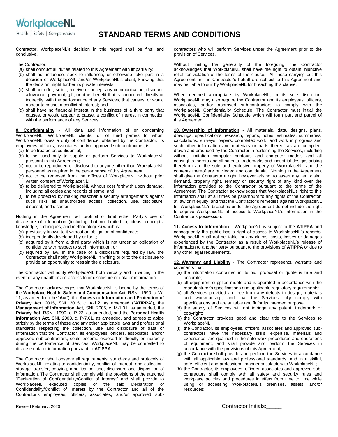Health | Safety | Compensation

#### **STANDARD TERMS AND CONDITIONS**

Contractor. WorkplaceNL's decision in this regard shall be final and conclusive.

The Contractor:

- (a) shall conduct all duties related to this Agreement with impartiality;
- (b) shall not influence, seek to influence, or otherwise take part in a decision of WorkplaceNL and/or WorkplaceNL's client, knowing that the decision might further its private interests;
- (c) shall not offer, solicit, receive or accept any communication, discount, allowance, payment, gift, or other benefit that is connected, directly or indirectly, with the performance of any Services, that causes, or would appear to cause, a conflict of interest; and
- (d) shall have no financial interest in the business of a third party that causes, or would appear to cause, a conflict of interest in connection with the performance of any Services.

**9. Confidentiality** - All data and information of or concerning WorkplaceNL, WorkplaceNL clients, or of third parties to whom WorkplaceNL owes a duty of confidence, obtained by the Contractor, its employees, officers, associates, and/or approved sub-contractors, is:

- (a) to be treated as confidential;
- (b) to be used only to supply or perform Services to WorkplaceNL pursuant to this Agreement;
- (c) not to be reproduced or disclosed to anyone other than WorkplaceNL personnel as required in the performance of this Agreement;
- (d) not to be removed from the offices of WorkplaceNL without prior written consent of WorkplaceNL;
- (e) to be delivered to WorkplaceNL without cost forthwith upon demand, including all copies and records of same; and
- (f) to be protected by making reasonable security arrangements against such risks as unauthorized access, collection, use, disclosure, disposal, and disaster.

Nothing in the Agreement will prohibit or limit either Party's use or disclosure of information (including, but not limited to, ideas, concepts, knowledge, techniques, and methodologies) which is:

- (a) previously known to it without an obligation of confidence;
- (b) independently developed by or for it;
- (c) acquired by it from a third party which is not under an obligation of confidence with respect to such information; or
- (d) required by law. In the case of a disclosure required by law, the Contractor shall notify WorkplaceNL in writing prior to the disclosure to provide an opportunity to restrain the disclosure.

The Contractor will notify WorkplaceNL both verbally and in writing in the event of any unauthorized access to or disclosure of data or information.

The Contractor acknowledges that WorkplaceNL is bound by the terms of the **Workplace Health, Safety and Compensation Act**, RSNL 1990, c. W-11, as amended (the "**Act**"), the **Access to Information and Protection of Privacy Act**, 2015, SNL 2015, c. A-1.2, as amended ("**ATIPPA**"), the **Management of Information Act***,* SNL 2005, c. M-1.01, as amended, the **Privacy Act***,* RSNL 1990, c. P-22, as amended, and the **Personal Health Information Act**, SNL 2008, c. P-7.01, as amended, and agrees to abide strictly by the terms of these and any other applicable laws and professional standards respecting the collection, use and disclosure of data or information that the Contractor, its employees, officers, associates, and/or approved sub-contractors, could become exposed to directly or indirectly during the performance of Services. WorkplaceNL may be compelled to disclose data or information pursuant to **ATIPPA**.

The Contractor shall observe all requirements, standards and protocols of WorkplaceNL, relating to confidentiality, conflict of interest, and collection, storage, transfer, copying, modification, use, disclosure and disposition of information. The Contractor shall comply with the provisions of the attached "Declaration of Confidentiality/Conflict of Interest" and shall provide to WorkplaceNL executed copies of the said Declaration of Confidentiality/Conflict of Interest by the Contractor and all of the Contractor's employees, officers, associates, and/or approved subcontractors who will perform Services under the Agreement prior to the provision of Services.

Without limiting the generality of the foregoing, the Contractor acknowledges that WorkplaceNL shall have the right to obtain injunctive relief for violation of the terms of the clause. All those carrying out this Agreement on the Contractor's behalf are subject to this Agreement and may be liable to suit by WorkplaceNL for breaching this clause.

When deemed appropriate by WorkplaceNL, in its sole discretion, WorkplaceNL may also require the Contractor and its employees, officers, associates, and/or approved sub-contractors to comply with the WorkplaceNL Confidentiality Schedule. The Contractor must initial the WorkplaceNL Confidentiality Schedule which will form part and parcel of this Agreement.

**10. Ownership of Information -** All materials, data, designs, plans, drawings, specifications, research, reports, notes, estimates, summaries, calculations, surveys, papers, completed work, and work in progress and such other information and materials or parts thereof as are compiled, drawn and produced by the Contractor in performing the Services, including without limitation computer printouts and computer models and all copyrights thereto and all patents, trademarks and industrial designs arising therefrom are the sole and exclusive property of WorkplaceNL and the contents thereof are privileged and confidential. Nothing in the Agreement shall give the Contractor a right, however arising, to assert any lien, claim, demand, property right, remedy or security right of any kind over the information provided to the Contractor pursuant to the terms of the Agreement. The Contractor acknowledges that WorkplaceNL's right to this information shall at all times be paramount to any rights of the Contractor, at law or in equity, and that the Contractor's remedies against WorkplaceNL for WorkplaceNL's breaches under the Agreement do not include the right to deprive WorkplaceNL of access to WorkplaceNL's information in the Contractor's possession.

**11. Access to Information** – WorkplaceNL is subject to the **ATIPPA** and consequently the public has a right of access to WorkplaceNL's records. WorkplaceNL shall not be liable for any claims, costs, losses or damages experienced by the Contractor as a result of WorkplaceNL's release of information to another party pursuant to the provisions of **ATIPPA** or due to any other legal requirements.

**12. Warranty and Liability** - The Contractor represents, warrants and covenants that:

- (a) the information contained in its bid, proposal or quote is true and accurate;
- (b) all equipment supplied meets and is operated in accordance with the manufacturer's specifications and applicable regulatory requirements;
- (c) all Services provided are free from any defects in design, materials and workmanship, and that the Services fully comply with specifications and are suitable and fit for its intended purpose;
- (d) the supply of Services will not infringe any patent, trademark or copyright;
- (e) the Contractor provides good and clear title to the Services to WorkplaceNL;
- (f) the Contractor, its employees, officers, associates and approved subcontractors have the necessary skills, expertise, materials and experience, are qualified in the safe work procedures and operations of equipment, and shall provide and perform the Services in accordance with the provisions of this Agreement;
- (g) the Contractor shall provide and perform the Services in accordance with all applicable law and professional standards, and in a skilful, safe, efficient and professional manner satisfactory to WorkplaceNL;
- (h) the Contractor, its employees, officers, associates and approved subcontractors shall comply with all safety and security rules and workplace policies and procedures in effect from time to time while using or accessing WorkplaceNL's premises, assets, and/or resources;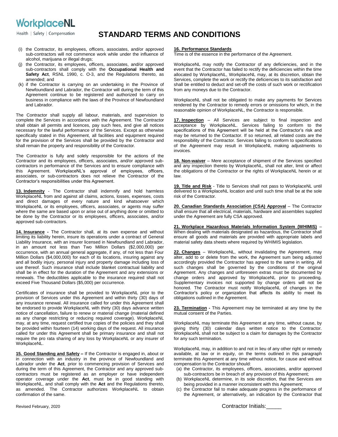Health | Safety | Compensation

#### **STANDARD TERMS AND CONDITIONS**

- (i) the Contractor, its employees, officers, associates, and/or approved sub-contractors will not commence work while under the influence of alcohol, marijuana or illegal drugs;
- (j) the Contractor, its employees, officers, associates, and/or approved sub-contractors shall comply with the **Occupational Health and Safety Act**, RSNL 1990, c. O-3, and the Regulations thereto, as amended; and
- (k) if the Contractor is carrying on an undertaking in the Province of Newfoundland and Labrador, the Contractor will during the term of this Agreement continue to be registered and authorized to carry on business in compliance with the laws of the Province of Newfoundland and Labrador.

The Contractor shall supply all labour, materials, and supervision to complete the Services in accordance with the Agreement. The Contractor shall obtain all permits and licences, pay such fees, and give all notices necessary for the lawful performance of the Services. Except as otherwise specifically stated in this Agreement, all facilities and equipment required for the provision of the Services shall be provided by the Contractor and shall remain the property and responsibility of the Contractor.

The Contractor is fully and solely responsible for the actions of the Contractor and its employees, officers, associates, and/or approved subcontractors in performance of the Services and to ensure compliance with this Agreement. WorkplaceNL's approval of employees, officers, associates, or sub-contractors does not relieve the Contractor of the Contractor's responsibilities under this Agreement.

**13. Indemnity** - The Contractor shall indemnify and hold harmless WorkplaceNL from and against all claims, actions, losses, expenses, costs and direct damages of every nature and kind whatsoever which WorkplaceNL or its employees, officers, associates, or agents may suffer where the same are based upon or arise out of anything done or omitted to be done by the Contractor or its employees, officers, associates, and/or approved sub-contractors.

**14. Insurance -** The Contractor shall, at its own expense and without limiting its liability herein, insure its operations under a contract of General Liability Insurance, with an insurer licensed in Newfoundland and Labrador, in an amount not less than Two Million Dollars (\$2,000,000) per occurrence, with an annual general aggregate, if any, of not less than Four Million Dollars (\$4,000,000) for each of its locations, insuring against any and all bodily injury, personal injury and property damage including loss of use thereof. Such insurance shall include blanket contractual liability and shall be in effect for the duration of the Agreement and any extensions or renewals. The deductibles applicable to the insurance required shall not exceed Five Thousand Dollars (\$5,000) per occurrence.

Certificates of insurance shall be provided to WorkplaceNL prior to the provision of Services under this Agreement and within thirty (30) days of any insurance renewal. All insurance called for under this Agreement shall be endorsed to provide WorkplaceNL with thirty (30) days advance written notice of cancellation, failure to renew or material change (material defined as any change restricting or reducing required coverage). WorkplaceNL may, at any time, request certified true copies of the policies and they shall be provided within fourteen (14) working days of the request. All insurance called for under this Agreement shall be primary insurance and shall not require the pro rata sharing of any loss by WorkplaceNL or any insurer of WorkplaceNL.

**15. Good Standing and Safety –** If the Contractor is engaged in, about or in connection with an industry in the province of Newfoundland and Labrador under the **Act**, prior to commencing provision of Services and during the term of this Agreement, the Contractor and any approved subcontractors must be registered as an employer or have independent operator coverage under the **Act**, must be in good standing with WorkplaceNL, and shall comply with the **Act** and the Regulations thereto, as amended. The Contractor authorizes WorkplaceNL to obtain confirmation of the same.

Time is of the essence in the performance of the Agreement.

WorkplaceNL may notify the Contractor of any deficiencies, and in the event that the Contractor has failed to rectify the deficiencies within the time allocated by WorkplaceNL, WorkplaceNL may, at its discretion, obtain the Services, complete the work or rectify the deficiencies to its satisfaction and shall be entitled to deduct and set-off the costs of such work or rectification from any moneys due to the Contractor.

WorkplaceNL shall not be obligated to make any payments for Services rendered by the Contractor to remedy errors or omissions for which, in the reasonable opinion of WorkplaceNL, the Contractor is responsible.

**17. Inspection** – All Services are subject to final inspection and acceptance by WorkplaceNL. Services failing to conform to the specifications of this Agreement will be held at the Contractor's risk and may be returned to the Contactor. If so returned, all related costs are the responsibility of the Contractor. Services failing to conform to specifications of the Agreement may result in WorkplaceNL making adjustments to invoices.

**18. Non-waiver** – Mere acceptance of shipment of the Services specified and any inspection thereto by WorkplaceNL, shall not alter, limit or affect the obligations of the Contractor or the rights of WorkplaceNL herein or at law.

**19. Title and Risk** - Title to Services shall not pass to WorkplaceNL until delivered to a WorkplaceNL location and until such time shall be at the sole risk of the Contractor.

**20. Canadian Standards Association (CSA) Approval** – The Contractor shall ensure that all electrical, materials, hardware and assemblies supplied under the Agreement are fully CSA approved.

**21. Workplace Hazardous Materials Information System (WHIMIS)** – When dealing with materials designated as hazardous, the Contractor shall ensure all goods and materials are provided with appropriate labels and material safety data sheets where required by WHIMIS legislation.

**22. Changes** – WorkplaceNL, without invalidating the Agreement, may alter, add to or delete from the work, the Agreement sum being adjusted accordingly provided the Contractor has agreed to the same in writing. All such changes shall be governed by the conditions of the original Agreement. Any changes and unforeseen extras must be documented by change orders and approved by WorkplaceNL prior to proceeding. Supplementary invoices not supported by change orders will not be honored. The Contractor must notify WorkplaceNL of changes in the Contractor's policy or organization that affects its ability to meet its obligations outlined in the Agreement.

**23. Termination -** This Agreement may be terminated at any time by the mutual consent of the Parties.

WorkplaceNL may terminate this Agreement at any time, without cause, by giving thirty (30) calendar days written notice to the Contractor. WorkplaceNL shall not be subject to a claim for damages by the Contractor for any such termination.

WorkplaceNL may, in addition to and not in lieu of any other right or remedy available, at law or in equity, on the terms outlined in this paragraph terminate this Agreement at any time without notice, for cause and without compensation to the Contractor should:

- (a) the Contractor, its employees, officers, associates, and/or approved sub-contractors be in breach of any provision of this Agreement;
- (b) WorkplaceNL determine, in its sole discretion, that the Services are being provided in a manner inconsistent with this Agreement;
- (c) the Contractor fail to make adequate progress in the performance of the Agreement, or alternatively, an indication by the Contractor that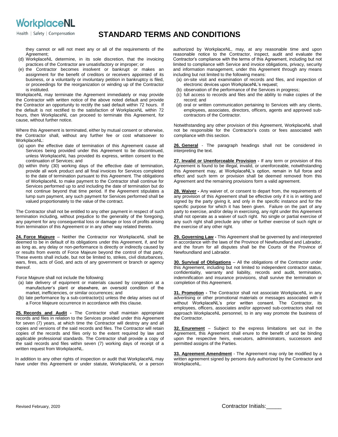Health | Safety | Compensation

#### **STANDARD TERMS AND CONDITIONS**

they cannot or will not meet any or all of the requirements of the Agreement;

- (d) WorkplaceNL determine, in its sole discretion, that the invoicing practices of the Contractor are unsatisfactory or improper; or
- (e) the Contractor becomes insolvent or bankrupt or makes an assignment for the benefit of creditors or receivers appointed of its business, or a voluntarily or involuntary petition in bankruptcy is filed, or proceedings for the reorganization or winding up of the Contractor is instituted.

WorkplaceNL may terminate the Agreement immediately or may provide the Contractor with written notice of the above noted default and provide the Contractor an opportunity to rectify the said default within 72 hours. If the default is not rectified to the satisfaction of WorkplaceNL within 72 hours, then WorkplaceNL can proceed to terminate this Agreement, for cause, without further notice.

Where this Agreement is terminated, either by mutual consent or otherwise, the Contractor shall, without any further fee or cost whatsoever to WorkplaceNL:

- (a) upon the effective date of termination of this Agreement cause all Services being provided under this Agreement to be discontinued, unless WorkplaceNL has provided its express, written consent to the continuation of Services; and
- (b) within thirty (30) working days of the effective date of termination, provide all work product and all final invoices for Services completed to the date of termination pursuant to this Agreement. The obligations of WorkplaceNL to make payment to the Contractor shall continue for Services performed up to and including the date of termination but do not continue beyond that time period. If the Agreement stipulates a lump sum payment, any such payment for Services performed shall be valued proportionately to the value of the contract.

The Contractor shall not be entitled to any other payment in respect of such termination including, without prejudice to the generality of the foregoing, any payment for any consequential loss or damage or loss of profits arising from termination of this Agreement or in any other way related thereto.

**24. Force Majeure** – Neither the Contractor nor WorkplaceNL shall be deemed to be in default of its obligations under this Agreement, if, and for as long as, any delay or non-performance is directly or indirectly caused by or results from events of Force Majeure beyond the control of that party. These events shall include, but not be limited to, strikes, civil disturbances, wars, fires, acts of God, and acts of any government or branch or agency thereof.

Force Majeure shall not include the following:

- (a) late delivery of equipment or materials caused by congestion at a manufacturer's plant or elsewhere, an oversold condition of the market, inefficiencies, or similar occurrences; and
- (b) late performance by a sub-contractor(s) unless the delay arises out of a Force Majeure occurrence in accordance with this clause.

**25. Records and Audit -** The Contractor shall maintain appropriate records and files in relation to the Services provided under this Agreement for seven (7) years, at which time the Contractor will destroy any and all copies and versions of the said records and files. The Contractor will retain copies of the records and files only to the extent required by law and applicable professional standards. The Contractor shall provide a copy of the said records and files within seven (7) working days of receipt of a written request from WorkplaceNL.

In addition to any other rights of inspection or audit that WorkplaceNL may have under this Agreement or under statute, WorkplaceNL or a person authorized by WorkplaceNL, may, at any reasonable time and upon reasonable notice to the Contractor, inspect, audit and evaluate the Contractor's compliance with the terms of this Agreement, including but not limited to compliance with Service and invoice obligations, privacy, security and information management, under this Agreement through any means including but not limited to the following means:

- (a) on-site visit and examination of records and files, and inspection of electronic devices upon WorkplaceNL's request;
- (b) observation of the performance of the Services in progress;
- (c) full access to records and files and the ability to make copies of the record; and
- (d) oral or written communication pertaining to Services with any clients, employees, associates, directors, officers, agents and approved subcontractors of the Contractor.

Notwithstanding any other provision of this Agreement, WorkplaceNL shall not be responsible for the Contractor's costs or fees associated with compliance with this section.

**26. General** - The paragraph headings shall not be considered in interpreting the text.

**27. Invalid or Unenforceable Provision -** If any term or provision of this Agreement is found to be illegal, invalid, or unenforceable, notwithstanding this Agreement may, at WorkplaceNL's option, remain in full force and effect and such term or provision shall be deemed removed from this Agreement and the remaining provisions form a valid agreement.

**28. Waiver -** Any waiver of, or consent to depart from, the requirements of any provision of this Agreement shall be effective only if it is in writing and signed by the party giving it, and only in the specific instance and for the specific purpose for which it has been given. Failure on the part of any party to exercise, and/or delay in exercising, any right under this Agreement shall not operate as a waiver of such right. No single or partial exercise of any such right shall preclude any other or further exercise of such right or the exercise of any other right.

**29. Governing Law -** This Agreement shall be governed by and interpreted in accordance with the laws of the Province of Newfoundland and Labrador, and the forum for all disputes shall be the Courts of the Province of Newfoundland and Labrador.

**30. Survival of Obligations** – All the obligations of the Contractor under this Agreement, including but not limited to independent contractor status, confidentiality, warranty and liability, records and audit, termination, indemnification and insurance provisions, shall survive the termination or completion of this Agreement.

**31. Promotion -** The Contractor shall not associate WorkplaceNL in any advertising or other promotional materials or messages associated with it without WorkplaceNL's prior written consent. The Contractor, its employees, officers, associates and/or approved sub-contractors shall not approach WorkplaceNL personnel, to in any way promote the business of the Contractor.

**32. Enurement** – Subject to the express limitations set out in the Agreement, this Agreement shall enure to the benefit of and be binding upon the respective heirs, executors, administrators, successors and permitted assigns of the Parties.

**33. Agreement Amendment** - The Agreement may only be modified by a written agreement signed by persons duly authorized by the Contractor and WorkplaceNL.